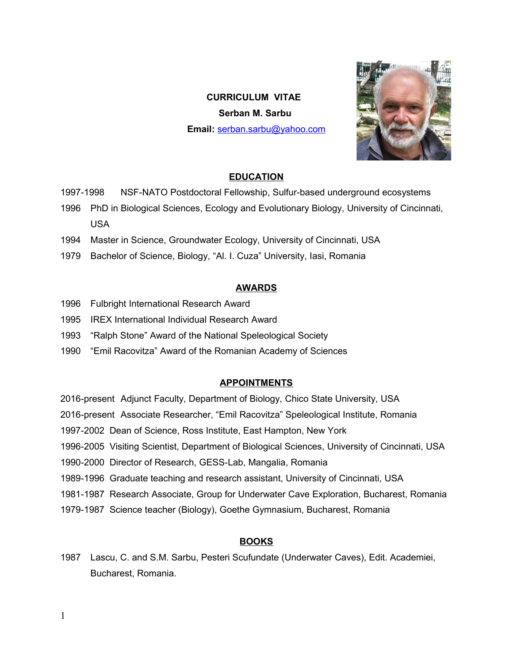# **CURRICULUM VITAE Serban M. Sarbu Email:** [serban.sarbu@yahoo.com](mailto:serban.sarbu@yahoo.com)



#### **EDUCATION**

- 1997-1998 NSF-NATO Postdoctoral Fellowship, Sulfur-based underground ecosystems
- 1996 PhD in Biological Sciences, Ecology and Evolutionary Biology, University of Cincinnati, USA
- 1994 Master in Science, Groundwater Ecology, University of Cincinnati, USA
- 1979 Bachelor of Science, Biology, "Al. I. Cuza" University, Iasi, Romania

### **AWARDS**

- 1996 Fulbright International Research Award
- 1995 IREX International Individual Research Award
- 1993 "Ralph Stone" Award of the National Speleological Society
- 1990 "Emil Racovitza" Award of the Romanian Academy of Sciences

# **APPOINTMENTS**

- 2016-present Adjunct Faculty, Department of Biology, Chico State University, USA
- 2016-present Associate Researcher, "Emil Racovitza" Speleological Institute, Romania
- 1997-2002 Dean of Science, Ross Institute, East Hampton, New York
- 1996-2005 Visiting Scientist, Department of Biological Sciences, University of Cincinnati, USA
- 1990-2000 Director of Research, GESS-Lab, Mangalia, Romania
- 1989-1996 Graduate teaching and research assistant, University of Cincinnati, USA
- 1981-1987 Research Associate, Group for Underwater Cave Exploration, Bucharest, Romania
- 1979-1987 Science teacher (Biology), Goethe Gymnasium, Bucharest, Romania

# **BOOKS**

1987 Lascu, C. and S.M. Sarbu, Pesteri Scufundate (Underwater Caves), Edit. Academiei, Bucharest, Romania.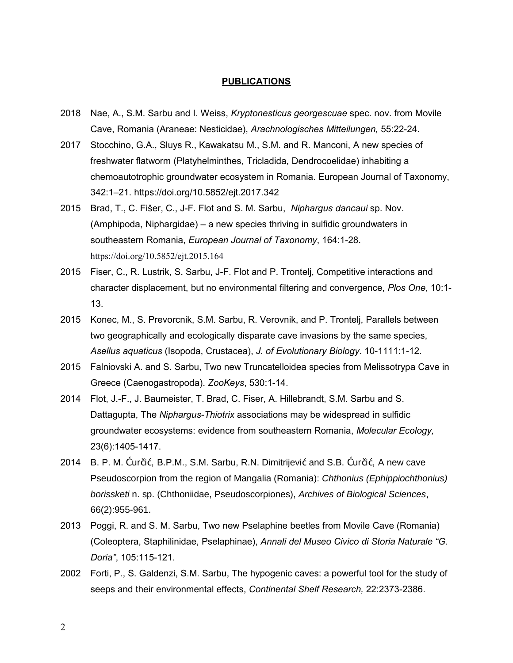#### **PUBLICATIONS**

- 2018 Nae, A., S.M. Sarbu and I. Weiss, *Kryptonesticus georgescuae* spec. nov. from Movile Cave, Romania (Araneae: Nesticidae), *Arachnologisches Mitteilungen,* 55:22-24.
- 2017 Stocchino, G.A., Sluys R., Kawakatsu M., S.M. and R. Manconi, A new species of freshwater flatworm (Platyhelminthes, Tricladida, Dendrocoelidae) inhabiting a chemoautotrophic groundwater ecosystem in Romania. European Journal of Taxonomy, 342:1–21. https://doi.org/10.5852/ejt.2017.342
- 2015 Brad, T., C. Fišer, C., J-F. Flot and S. M. Sarbu, *Niphargus dancaui* sp. Nov. (Amphipoda, Niphargidae) – a new species thriving in sulfidic groundwaters in southeastern Romania, *European Journal of Taxonomy*, 164:1-28. <https://doi.org/10.5852/ejt.2015.164>
- 2015 Fiser, C., R. Lustrik, S. Sarbu, J-F. Flot and P. Trontelj, Competitive interactions and character displacement, but no environmental filtering and convergence, *Plos One*, 10:1- 13.
- 2015 Konec, M., S. Prevorcnik, S.M. Sarbu, R. Verovnik, and P. Trontelj, Parallels between two geographically and ecologically disparate cave invasions by the same species, *Asellus aquaticus* (Isopoda, Crustacea), *J. of Evolutionary Biology*. 10-1111:1-12.
- 2015 Falniovski A. and S. Sarbu, Two new Truncatelloidea species from Melissotrypa Cave in Greece (Caenogastropoda). *ZooKeys*, 530:1-14.
- 2014 Flot, J.-F., J. Baumeister, T. Brad, C. Fiser, A. Hillebrandt, S.M. Sarbu and S. Dattagupta, The *Niphargus-Thiotrix* associations may be widespread in sulfidic groundwater ecosystems: evidence from southeastern Romania, *Molecular Ecology,*  23(6):1405-1417.
- 2014 B. P. M. Ćurčić, B.P.M., S.M. Sarbu, R.N. Dimitrijević and S.B. Ćurčić, A new cave Pseudoscorpion from the region of Mangalia (Romania): Chthonius (Ephippiochthonius) borissketi n. sp. (Chthoniidae, Pseudoscorpiones), Archives of Biological Sciences, 66(2):955-961.
- 2013 Poggi, R. and S. M. Sarbu, Two new Pselaphine beetles from Movile Cave (Romania) (Coleoptera, Staphilinidae, Pselaphinae), *Annali del Museo Civico di Storia Naturale "G. Doria"*, 105:115-121.
- 2002 Forti, P., S. Galdenzi, S.M. Sarbu, The hypogenic caves: a powerful tool for the study of seeps and their environmental effects, *Continental Shelf Research,* 22:2373-2386.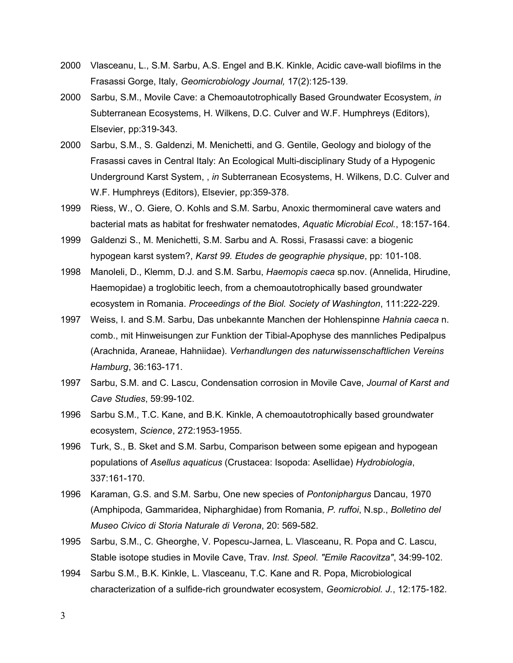- 2000 Vlasceanu, L., S.M. Sarbu, A.S. Engel and B.K. Kinkle, Acidic cave-wall biofilms in the Frasassi Gorge, Italy, *Geomicrobiology Journal,* 17(2):125-139.
- 2000 Sarbu, S.M., Movile Cave: a Chemoautotrophically Based Groundwater Ecosystem, *in* Subterranean Ecosystems, H. Wilkens, D.C. Culver and W.F. Humphreys (Editors), Elsevier, pp:319-343.
- 2000 Sarbu, S.M., S. Galdenzi, M. Menichetti, and G. Gentile, Geology and biology of the Frasassi caves in Central Italy: An Ecological Multi-disciplinary Study of a Hypogenic Underground Karst System, , *in* Subterranean Ecosystems, H. Wilkens, D.C. Culver and W.F. Humphreys (Editors), Elsevier, pp:359-378.
- 1999 Riess, W., O. Giere, O. Kohls and S.M. Sarbu, Anoxic thermomineral cave waters and bacterial mats as habitat for freshwater nematodes, *Aquatic Microbial Ecol.*, 18:157-164.
- 1999 Galdenzi S., M. Menichetti, S.M. Sarbu and A. Rossi, Frasassi cave: a biogenic hypogean karst system?, *Karst 99. Etudes de geographie physique*, pp: 101-108.
- 1998 Manoleli, D., Klemm, D.J. and S.M. Sarbu, *Haemopis caeca* sp.nov. (Annelida, Hirudine, Haemopidae) a troglobitic leech, from a chemoautotrophically based groundwater ecosystem in Romania. *Proceedings of the Biol. Society of Washington*, 111:222-229.
- 1997 Weiss, I. and S.M. Sarbu, Das unbekannte Manchen der Hohlenspinne *Hahnia caeca* n. comb., mit Hinweisungen zur Funktion der Tibial-Apophyse des mannliches Pedipalpus (Arachnida, Araneae, Hahniidae). *Verhandlungen des naturwissenschaftlichen Vereins Hamburg*, 36:163-171.
- 1997 Sarbu, S.M. and C. Lascu, Condensation corrosion in Movile Cave, *Journal of Karst and Cave Studies*, 59:99-102.
- 1996 Sarbu S.M., T.C. Kane, and B.K. Kinkle, A chemoautotrophically based groundwater ecosystem, *Science*, 272:1953-1955.
- 1996 Turk, S., B. Sket and S.M. Sarbu, Comparison between some epigean and hypogean populations of *Asellus aquaticus* (Crustacea: Isopoda: Asellidae) *Hydrobiologia*, 337:161-170.
- 1996 Karaman, G.S. and S.M. Sarbu, One new species of *Pontoniphargus* Dancau, 1970 (Amphipoda, Gammaridea, Nipharghidae) from Romania, *P. ruffoi*, N.sp., *Bolletino del Museo Civico di Storia Naturale di Verona*, 20: 569-582.
- 1995 Sarbu, S.M., C. Gheorghe, V. Popescu-Jarnea, L. Vlasceanu, R. Popa and C. Lascu, Stable isotope studies in Movile Cave, Trav*. Inst. Speol. "Emile Racovitza"*, 34:99-102.
- 1994 Sarbu S.M., B.K. Kinkle, L. Vlasceanu, T.C. Kane and R. Popa, Microbiological characterization of a sulfide-rich groundwater ecosystem, *Geomicrobiol. J.*, 12:175-182.